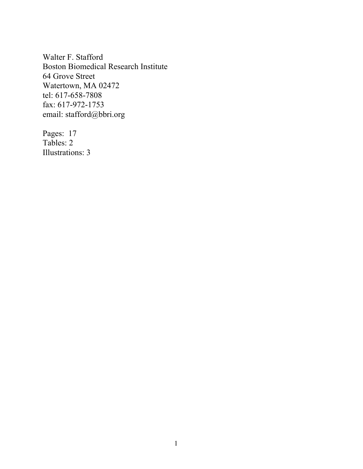Walter F. Stafford Boston Biomedical Research Institute 64 Grove Street Watertown, MA 02472 tel: 617-658-7808 fax: 617-972-1753 email: stafford@bbri.org

Pages: 17 Tables: 2 Illustrations: 3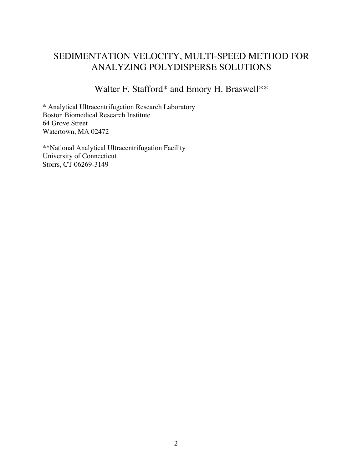# SEDIMENTATION VELOCITY, MULTI-SPEED METHOD FOR ANALYZING POLYDISPERSE SOLUTIONS

Walter F. Stafford\* and Emory H. Braswell\*\*

\* Analytical Ultracentrifugation Research Laboratory Boston Biomedical Research Institute 64 Grove Street Watertown, MA 02472

\*\*National Analytical Ultracentrifugation Facility University of Connecticut Storrs, CT 06269-3149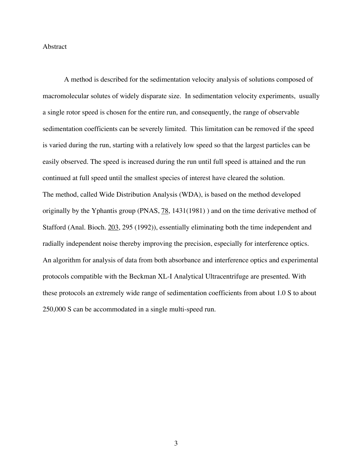#### Abstract

A method is described for the sedimentation velocity analysis of solutions composed of macromolecular solutes of widely disparate size. In sedimentation velocity experiments, usually a single rotor speed is chosen for the entire run, and consequently, the range of observable sedimentation coefficients can be severely limited. This limitation can be removed if the speed is varied during the run, starting with a relatively low speed so that the largest particles can be easily observed. The speed is increased during the run until full speed is attained and the run continued at full speed until the smallest species of interest have cleared the solution. The method, called Wide Distribution Analysis (WDA), is based on the method developed originally by the Yphantis group (PNAS,  $\frac{78}{1431(1981)}$ ) and on the time derivative method of Stafford (Anal. Bioch. 203, 295 (1992)), essentially eliminating both the time independent and radially independent noise thereby improving the precision, especially for interference optics. An algorithm for analysis of data from both absorbance and interference optics and experimental protocols compatible with the Beckman XL-I Analytical Ultracentrifuge are presented. With these protocols an extremely wide range of sedimentation coefficients from about 1.0 S to about 250,000 S can be accommodated in a single multi-speed run.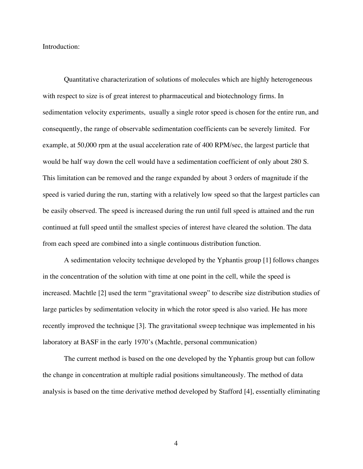Introduction:

Quantitative characterization of solutions of molecules which are highly heterogeneous with respect to size is of great interest to pharmaceutical and biotechnology firms. In sedimentation velocity experiments, usually a single rotor speed is chosen for the entire run, and consequently, the range of observable sedimentation coefficients can be severely limited. For example, at 50,000 rpm at the usual acceleration rate of 400 RPM/sec, the largest particle that would be half way down the cell would have a sedimentation coefficient of only about 280 S. This limitation can be removed and the range expanded by about 3 orders of magnitude if the speed is varied during the run, starting with a relatively low speed so that the largest particles can be easily observed. The speed is increased during the run until full speed is attained and the run continued at full speed until the smallest species of interest have cleared the solution. The data from each speed are combined into a single continuous distribution function.

A sedimentation velocity technique developed by the Yphantis group [1] follows changes in the concentration of the solution with time at one point in the cell, while the speed is increased. Machtle [2] used the term "gravitational sweep" to describe size distribution studies of large particles by sedimentation velocity in which the rotor speed is also varied. He has more recently improved the technique [3]. The gravitational sweep technique was implemented in his laboratory at BASF in the early 1970's (Machtle, personal communication)

The current method is based on the one developed by the Yphantis group but can follow the change in concentration at multiple radial positions simultaneously. The method of data analysis is based on the time derivative method developed by Stafford [4], essentially eliminating

4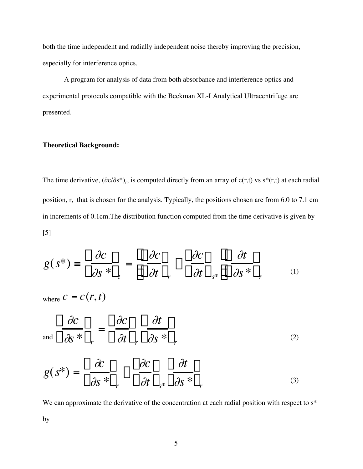both the time independent and radially independent noise thereby improving the precision, especially for interference optics.

A program for analysis of data from both absorbance and interference optics and experimental protocols compatible with the Beckman XL-I Analytical Ultracentrifuge are presented.

# **Theoretical Background:**

The time derivative,  $(\partial c/\partial s^*)$ <sub>r</sub>, is computed directly from an array of c(r,t) vs s\*(r,t) at each radial position, r, that is chosen for the analysis. Typically, the positions chosen are from 6.0 to 7.1 cm in increments of 0.1cm.The distribution function computed from the time derivative is given by [5]

$$
g(s^*) \equiv \left(\frac{\partial c}{\partial s^*}\right)_t = \left[\left(\frac{\partial c}{\partial t}\right)_r - \left(\frac{\partial c}{\partial t}\right)_{s^*}\right] \left(\frac{\partial t}{\partial s^*}\right)_r \tag{1}
$$

where  $c = c(r,t)$ 

$$
\int_{\text{and}} \left( \frac{\partial c}{\partial s} \right)_r = \left( \frac{\partial c}{\partial t} \right)_r \left( \frac{\partial t}{\partial s} \right)_r \tag{2}
$$

$$
g(s^*) = \left(\frac{\partial c}{\partial s^*}\right)_r - \left(\frac{\partial c}{\partial t}\right)_{s^*} \left(\frac{\partial t}{\partial s^*}\right)_r \tag{3}
$$

We can approximate the derivative of the concentration at each radial position with respect to  $s^*$ 

by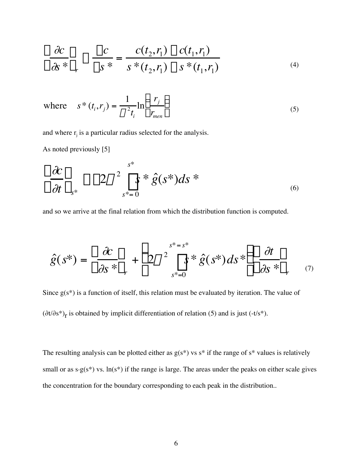$$
\left(\frac{\partial c}{\partial s^*}\right)_r \approx \frac{\Delta c}{\Delta s^*} = \frac{c(t_2, r_1) - c(t_1, r_1)}{s^*(t_2, r_1) - s^*(t_1, r_1)}
$$
\n(4)

where 
$$
s^*(t_i, r_j) = \frac{1}{\omega^2 t_i} \ln\left(\frac{r_j}{r_{\text{men}}}\right)
$$
 (5)

and where  $r_j$  is a particular radius selected for the analysis.

As noted previously [5]

$$
\left(\frac{\partial c}{\partial t}\right)_{s^*} \approx -2\omega^2 \int_{s^*=0}^{s^*} s^* \hat{g}(s^*) ds^* \tag{6}
$$

and so we arrive at the final relation from which the distribution function is computed.

$$
\hat{g}(s^*) = \left(\frac{\partial c}{\partial s^*}\right)_r + \left(2\omega^2 \int_{s^*=0}^{s^* = s^*} s\hat{g}(s^*) ds^*\right) \left(\frac{\partial t}{\partial s^*}\right)_r \tag{7}
$$

Since  $g(s^*)$  is a function of itself, this relation must be evaluated by iteration. The value of  $(\partial t/\partial s^*)$ <sub>r</sub> is obtained by implicit differentiation of relation (5) and is just (-t/s<sup>\*</sup>).

The resulting analysis can be plotted either as  $g(s^*)$  vs  $s^*$  if the range of  $s^*$  values is relatively small or as  $s.g(s^*)$  vs.  $ln(s^*)$  if the range is large. The areas under the peaks on either scale gives the concentration for the boundary corresponding to each peak in the distribution..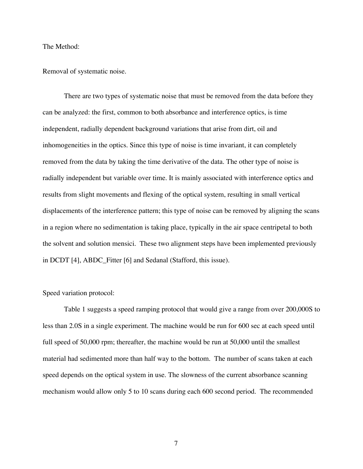The Method:

Removal of systematic noise.

There are two types of systematic noise that must be removed from the data before they can be analyzed: the first, common to both absorbance and interference optics, is time independent, radially dependent background variations that arise from dirt, oil and inhomogeneities in the optics. Since this type of noise is time invariant, it can completely removed from the data by taking the time derivative of the data. The other type of noise is radially independent but variable over time. It is mainly associated with interference optics and results from slight movements and flexing of the optical system, resulting in small vertical displacements of the interference pattern; this type of noise can be removed by aligning the scans in a region where no sedimentation is taking place, typically in the air space centripetal to both the solvent and solution mensici. These two alignment steps have been implemented previously in DCDT [4], ABDC\_Fitter [6] and Sedanal (Stafford, this issue).

### Speed variation protocol:

Table 1 suggests a speed ramping protocol that would give a range from over 200,000S to less than 2.0S in a single experiment. The machine would be run for 600 sec at each speed until full speed of 50,000 rpm; thereafter, the machine would be run at 50,000 until the smallest material had sedimented more than half way to the bottom. The number of scans taken at each speed depends on the optical system in use. The slowness of the current absorbance scanning mechanism would allow only 5 to 10 scans during each 600 second period. The recommended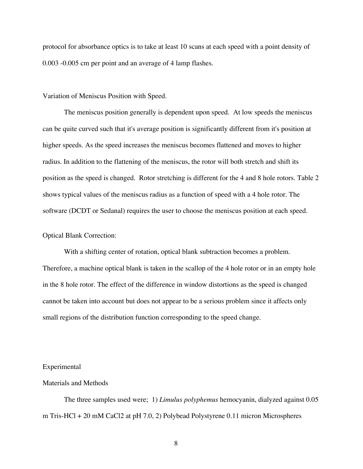protocol for absorbance optics is to take at least 10 scans at each speed with a point density of 0.003 -0.005 cm per point and an average of 4 lamp flashes.

#### Variation of Meniscus Position with Speed.

The meniscus position generally is dependent upon speed. At low speeds the meniscus can be quite curved such that it's average position is significantly different from it's position at higher speeds. As the speed increases the meniscus becomes flattened and moves to higher radius. In addition to the flattening of the meniscus, the rotor will both stretch and shift its position as the speed is changed. Rotor stretching is different for the 4 and 8 hole rotors. Table 2 shows typical values of the meniscus radius as a function of speed with a 4 hole rotor. The software (DCDT or Sedanal) requires the user to choose the meniscus position at each speed.

### Optical Blank Correction:

With a shifting center of rotation, optical blank subtraction becomes a problem. Therefore, a machine optical blank is taken in the scallop of the 4 hole rotor or in an empty hole in the 8 hole rotor. The effect of the difference in window distortions as the speed is changed cannot be taken into account but does not appear to be a serious problem since it affects only small regions of the distribution function corresponding to the speed change.

#### Experimental

### Materials and Methods

The three samples used were; 1) *Limulus polyphemus* hemocyanin, dialyzed against 0.05 m Tris-HCl + 20 mM CaCl2 at pH 7.0, 2) Polybead Polystyrene 0.11 micron Microspheres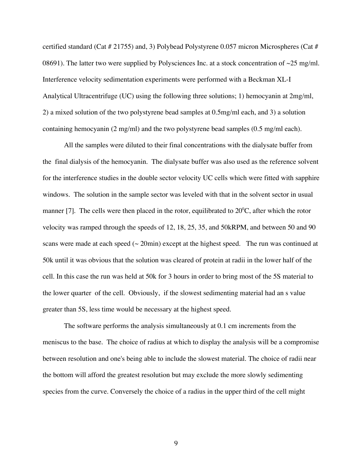certified standard (Cat # 21755) and, 3) Polybead Polystyrene 0.057 micron Microspheres (Cat # 08691). The latter two were supplied by Polysciences Inc. at a stock concentration of  $\sim$ 25 mg/ml. Interference velocity sedimentation experiments were performed with a Beckman XL-I Analytical Ultracentrifuge (UC) using the following three solutions; 1) hemocyanin at 2mg/ml, 2) a mixed solution of the two polystyrene bead samples at 0.5mg/ml each, and 3) a solution containing hemocyanin (2 mg/ml) and the two polystyrene bead samples (0.5 mg/ml each).

All the samples were diluted to their final concentrations with the dialysate buffer from the final dialysis of the hemocyanin. The dialysate buffer was also used as the reference solvent for the interference studies in the double sector velocity UC cells which were fitted with sapphire windows. The solution in the sample sector was leveled with that in the solvent sector in usual manner [7]. The cells were then placed in the rotor, equilibrated to  $20^{\circ}$ C, after which the rotor velocity was ramped through the speeds of 12, 18, 25, 35, and 50kRPM, and between 50 and 90 scans were made at each speed  $\sim$  20min) except at the highest speed. The run was continued at 50k until it was obvious that the solution was cleared of protein at radii in the lower half of the cell. In this case the run was held at 50k for 3 hours in order to bring most of the 5S material to the lower quarter of the cell. Obviously, if the slowest sedimenting material had an s value greater than 5S, less time would be necessary at the highest speed.

The software performs the analysis simultaneously at 0.1 cm increments from the meniscus to the base. The choice of radius at which to display the analysis will be a compromise between resolution and one's being able to include the slowest material. The choice of radii near the bottom will afford the greatest resolution but may exclude the more slowly sedimenting species from the curve. Conversely the choice of a radius in the upper third of the cell might

9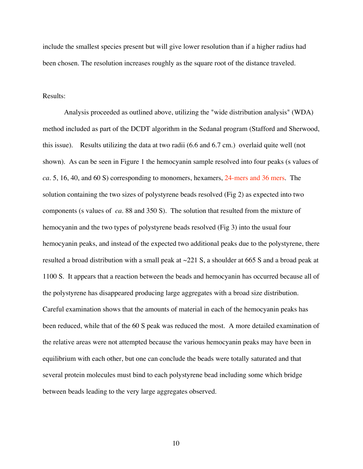include the smallest species present but will give lower resolution than if a higher radius had been chosen. The resolution increases roughly as the square root of the distance traveled.

#### Results:

Analysis proceeded as outlined above, utilizing the "wide distribution analysis" (WDA) method included as part of the DCDT algorithm in the Sedanal program (Stafford and Sherwood, this issue). Results utilizing the data at two radii (6.6 and 6.7 cm.) overlaid quite well (not shown). As can be seen in Figure 1 the hemocyanin sample resolved into four peaks (s values of *ca.* 5, 16, 40, and 60 S) corresponding to monomers, hexamers, 24-mers and 36 mers. The solution containing the two sizes of polystyrene beads resolved (Fig 2) as expected into two components (s values of *ca.* 88 and 350 S). The solution that resulted from the mixture of hemocyanin and the two types of polystyrene beads resolved (Fig 3) into the usual four hemocyanin peaks, and instead of the expected two additional peaks due to the polystyrene, there resulted a broad distribution with a small peak at ~221 S, a shoulder at 665 S and a broad peak at 1100 S. It appears that a reaction between the beads and hemocyanin has occurred because all of the polystyrene has disappeared producing large aggregates with a broad size distribution. Careful examination shows that the amounts of material in each of the hemocyanin peaks has been reduced, while that of the 60 S peak was reduced the most. A more detailed examination of the relative areas were not attempted because the various hemocyanin peaks may have been in equilibrium with each other, but one can conclude the beads were totally saturated and that several protein molecules must bind to each polystyrene bead including some which bridge between beads leading to the very large aggregates observed.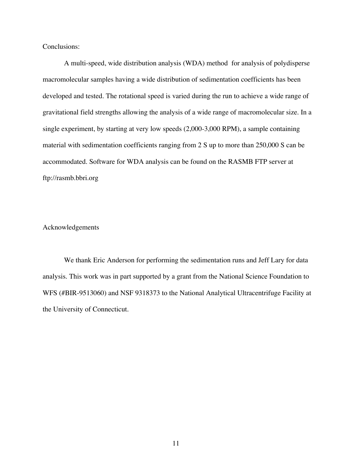Conclusions:

A multi-speed, wide distribution analysis (WDA) method for analysis of polydisperse macromolecular samples having a wide distribution of sedimentation coefficients has been developed and tested. The rotational speed is varied during the run to achieve a wide range of gravitational field strengths allowing the analysis of a wide range of macromolecular size. In a single experiment, by starting at very low speeds (2,000-3,000 RPM), a sample containing material with sedimentation coefficients ranging from 2 S up to more than 250,000 S can be accommodated. Software for WDA analysis can be found on the RASMB FTP server at ftp://rasmb.bbri.org

Acknowledgements

We thank Eric Anderson for performing the sedimentation runs and Jeff Lary for data analysis. This work was in part supported by a grant from the National Science Foundation to WFS (#BIR-9513060) and NSF 9318373 to the National Analytical Ultracentrifuge Facility at the University of Connecticut.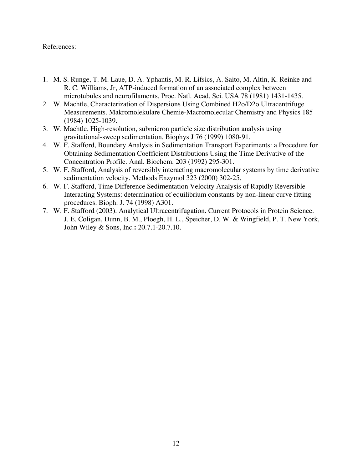# References:

- 1. M. S. Runge, T. M. Laue, D. A. Yphantis, M. R. Lifsics, A. Saito, M. Altin, K. Reinke and R. C. Williams, Jr, ATP-induced formation of an associated complex between microtubules and neurofilaments. Proc. Natl. Acad. Sci. USA 78 (1981) 1431-1435.
- 2. W. Machtle, Characterization of Dispersions Using Combined H2o/D2o Ultracentrifuge Measurements. Makromolekulare Chemie-Macromolecular Chemistry and Physics 185 (1984) 1025-1039.
- 3. W. Machtle, High-resolution, submicron particle size distribution analysis using gravitational-sweep sedimentation. Biophys J 76 (1999) 1080-91.
- 4. W. F. Stafford, Boundary Analysis in Sedimentation Transport Experiments: a Procedure for Obtaining Sedimentation Coefficient Distributions Using the Time Derivative of the Concentration Profile. Anal. Biochem. 203 (1992) 295-301.
- 5. W. F. Stafford, Analysis of reversibly interacting macromolecular systems by time derivative sedimentation velocity. Methods Enzymol 323 (2000) 302-25.
- 6. W. F. Stafford, Time Difference Sedimentation Velocity Analysis of Rapidly Reversible Interacting Systems: determination of equilibrium constants by non-linear curve fitting procedures. Bioph. J. 74 (1998) A301.
- 7. W. F. Stafford (2003). Analytical Ultracentrifugation. Current Protocols in Protein Science. J. E. Coligan, Dunn, B. M., Ploegh, H. L., Speicher, D. W. & Wingfield, P. T. New York, John Wiley & Sons, Inc.**:** 20.7.1-20.7.10.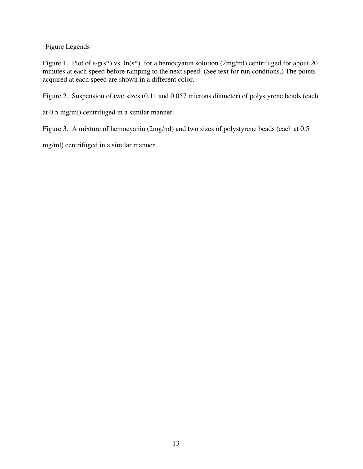Figure Legends

Figure 1. Plot of s $-g(s^*)$  vs. ln(s<sup>\*</sup>) for a hemocyanin solution (2mg/ml) centrifuged for about 20 minutes at each speed before ramping to the next speed. (See text for run condtions.) The points acquired at each speed are shown in a different color.

Figure 2. Suspension of two sizes (0.11 and 0.057 microns diameter) of polystyrene beads (each

at 0.5 mg/ml) centrifuged in a similar manner.

Figure 3. A mixture of hemocyanin (2mg/ml) and two sizes of polystyrene beads (each at 0.5

mg/ml) centrifuged in a similar manner.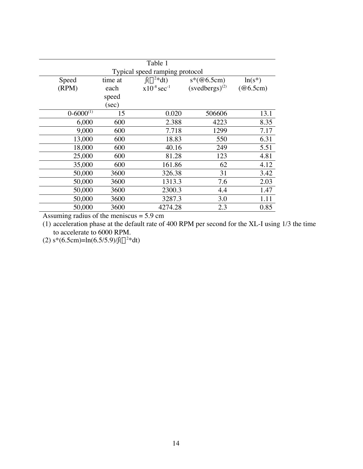|                  |         | Table 1                        |                         |           |
|------------------|---------|--------------------------------|-------------------------|-----------|
|                  |         | Typical speed ramping protocol |                         |           |
| Speed            | time at | $\int (\omega^2 * dt)$         | $s*(@6.5cm)$            | $ln(s^*)$ |
| (RPM)            | each    | $x10^{-8}$ sec <sup>-1</sup>   | $(s$ vedbergs $)^{(2)}$ | (@6.5cm)  |
|                  | speed   |                                |                         |           |
|                  | (sec)   |                                |                         |           |
| $0 - 6000^{(1)}$ | 15      | 0.020                          | 506606                  | 13.1      |
| 6,000            | 600     | 2.388                          | 4223                    | 8.35      |
| 9,000            | 600     | 7.718                          | 1299                    | 7.17      |
| 13,000           | 600     | 18.83                          | 550                     | 6.31      |
| 18,000           | 600     | 40.16                          | 249                     | 5.51      |
| 25,000           | 600     | 81.28                          | 123                     | 4.81      |
| 35,000           | 600     | 161.86                         | 62                      | 4.12      |
| 50,000           | 3600    | 326.38                         | 31                      | 3.42      |
| 50,000           | 3600    | 1313.3                         | 7.6                     | 2.03      |
| 50,000           | 3600    | 2300.3                         | 4.4                     | 1.47      |
| 50,000           | 3600    | 3287.3                         | 3.0                     | 1.11      |
| 50,000           | 3600    | 4274.28                        | 2.3                     | 0.85      |

Assuming radius of the meniscus  $= 5.9$  cm

(1) acceleration phase at the default rate of 400 RPM per second for the XL-I using 1/3 the time to accelerate to 6000 RPM.

(2) s\*(6.5cm)=ln(6.5/5.9)/ $\int (\omega^2 * dt)$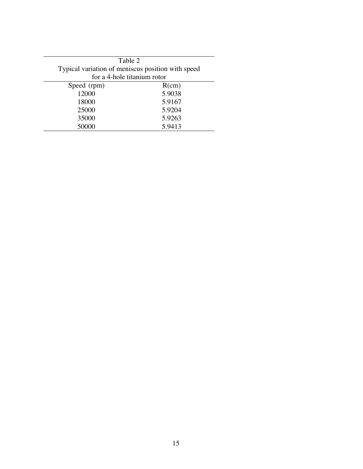| Table 2                                           |        |
|---------------------------------------------------|--------|
| Typical variation of meniscus position with speed |        |
| for a 4-hole titanium rotor                       |        |
| Speed (rpm)                                       | R(cm)  |
| 12000                                             | 5.9038 |
| 18000                                             | 5.9167 |
| 25000                                             | 5.9204 |
| 35000                                             | 5.9263 |
| 50000                                             | 5.9413 |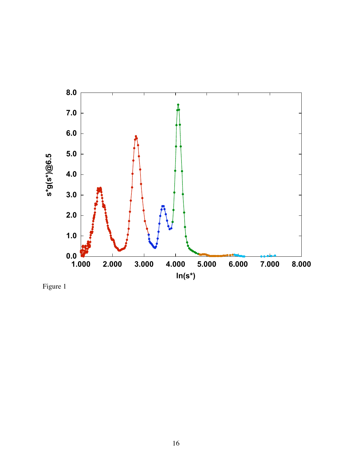

Figure 1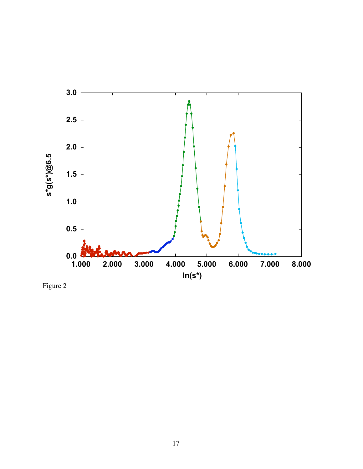

Figure 2